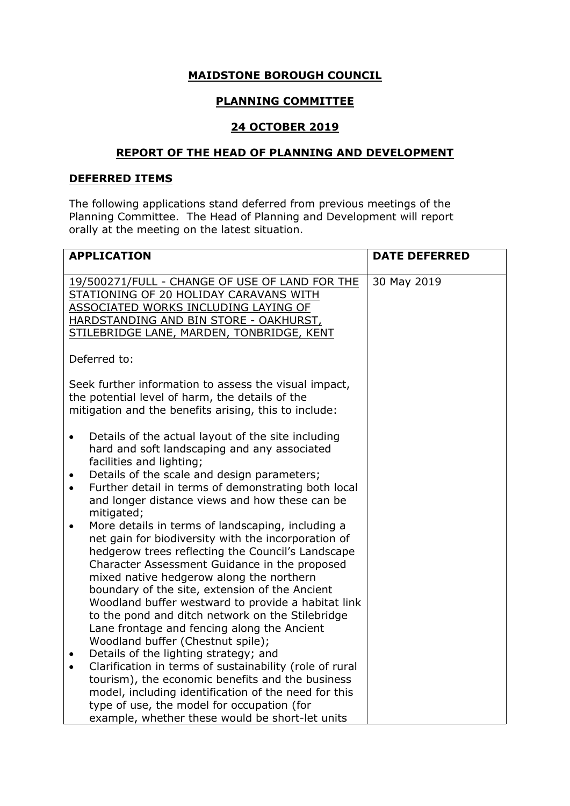## **MAIDSTONE BOROUGH COUNCIL**

# **PLANNING COMMITTEE**

## **24 OCTOBER 2019**

### **REPORT OF THE HEAD OF PLANNING AND DEVELOPMENT**

### **DEFERRED ITEMS**

The following applications stand deferred from previous meetings of the Planning Committee. The Head of Planning and Development will report orally at the meeting on the latest situation.

|                        | <b>APPLICATION</b>                                                                                                                                                                                                                                                                                                                                                               | <b>DATE DEFERRED</b> |
|------------------------|----------------------------------------------------------------------------------------------------------------------------------------------------------------------------------------------------------------------------------------------------------------------------------------------------------------------------------------------------------------------------------|----------------------|
|                        | 19/500271/FULL - CHANGE OF USE OF LAND FOR THE<br>STATIONING OF 20 HOLIDAY CARAVANS WITH<br>ASSOCIATED WORKS INCLUDING LAYING OF<br>HARDSTANDING AND BIN STORE - OAKHURST,<br>STILEBRIDGE LANE, MARDEN, TONBRIDGE, KENT                                                                                                                                                          | 30 May 2019          |
|                        | Deferred to:                                                                                                                                                                                                                                                                                                                                                                     |                      |
| $\bullet$              | Seek further information to assess the visual impact,<br>the potential level of harm, the details of the<br>mitigation and the benefits arising, this to include:<br>Details of the actual layout of the site including                                                                                                                                                          |                      |
| $\bullet$<br>$\bullet$ | hard and soft landscaping and any associated<br>facilities and lighting;<br>Details of the scale and design parameters;<br>Further detail in terms of demonstrating both local<br>and longer distance views and how these can be                                                                                                                                                 |                      |
| $\bullet$              | mitigated;<br>More details in terms of landscaping, including a<br>net gain for biodiversity with the incorporation of<br>hedgerow trees reflecting the Council's Landscape<br>Character Assessment Guidance in the proposed<br>mixed native hedgerow along the northern<br>boundary of the site, extension of the Ancient<br>Woodland buffer westward to provide a habitat link |                      |
|                        | to the pond and ditch network on the Stilebridge<br>Lane frontage and fencing along the Ancient<br>Woodland buffer (Chestnut spile);                                                                                                                                                                                                                                             |                      |
| $\bullet$<br>$\bullet$ | Details of the lighting strategy; and<br>Clarification in terms of sustainability (role of rural<br>tourism), the economic benefits and the business<br>model, including identification of the need for this<br>type of use, the model for occupation (for<br>example, whether these would be short-let units                                                                    |                      |